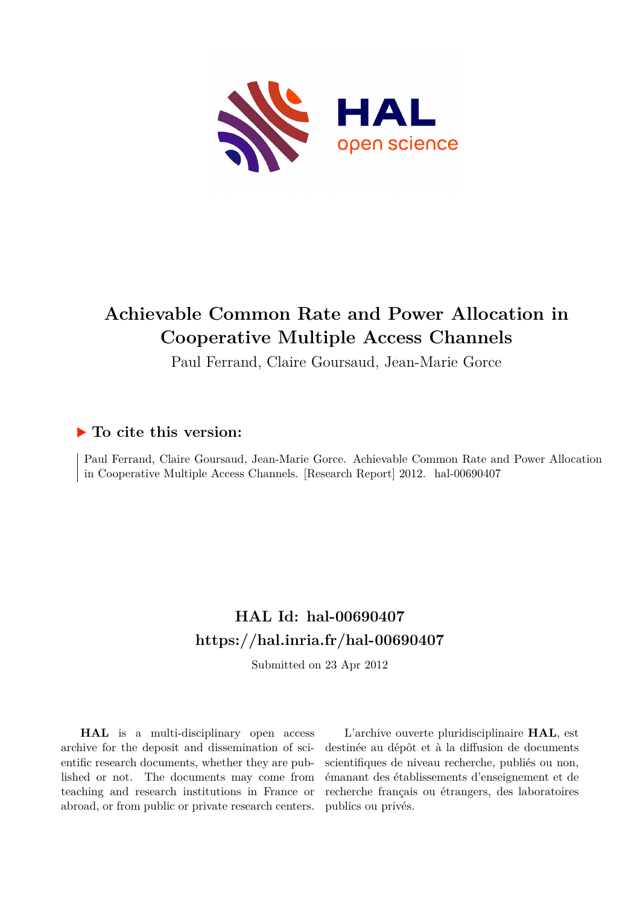

## **Achievable Common Rate and Power Allocation in Cooperative Multiple Access Channels**

Paul Ferrand, Claire Goursaud, Jean-Marie Gorce

### **To cite this version:**

Paul Ferrand, Claire Goursaud, Jean-Marie Gorce. Achievable Common Rate and Power Allocation in Cooperative Multiple Access Channels. [Research Report] 2012. hal-00690407

## **HAL Id: hal-00690407 <https://hal.inria.fr/hal-00690407>**

Submitted on 23 Apr 2012

**HAL** is a multi-disciplinary open access archive for the deposit and dissemination of scientific research documents, whether they are published or not. The documents may come from teaching and research institutions in France or abroad, or from public or private research centers.

L'archive ouverte pluridisciplinaire **HAL**, est destinée au dépôt et à la diffusion de documents scientifiques de niveau recherche, publiés ou non, émanant des établissements d'enseignement et de recherche français ou étrangers, des laboratoires publics ou privés.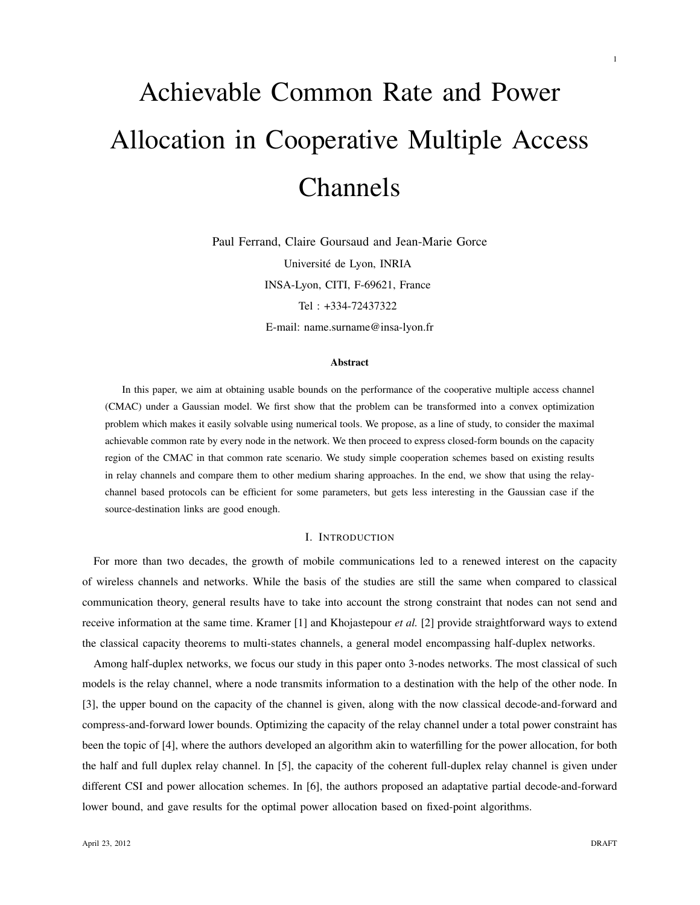# Achievable Common Rate and Power Allocation in Cooperative Multiple Access Channels

Paul Ferrand, Claire Goursaud and Jean-Marie Gorce Université de Lyon, INRIA INSA-Lyon, CITI, F-69621, France Tel : +334-72437322 E-mail: name.surname@insa-lyon.fr

#### Abstract

In this paper, we aim at obtaining usable bounds on the performance of the cooperative multiple access channel (CMAC) under a Gaussian model. We first show that the problem can be transformed into a convex optimization problem which makes it easily solvable using numerical tools. We propose, as a line of study, to consider the maximal achievable common rate by every node in the network. We then proceed to express closed-form bounds on the capacity region of the CMAC in that common rate scenario. We study simple cooperation schemes based on existing results in relay channels and compare them to other medium sharing approaches. In the end, we show that using the relaychannel based protocols can be efficient for some parameters, but gets less interesting in the Gaussian case if the source-destination links are good enough.

#### I. INTRODUCTION

For more than two decades, the growth of mobile communications led to a renewed interest on the capacity of wireless channels and networks. While the basis of the studies are still the same when compared to classical communication theory, general results have to take into account the strong constraint that nodes can not send and receive information at the same time. Kramer [1] and Khojastepour *et al.* [2] provide straightforward ways to extend the classical capacity theorems to multi-states channels, a general model encompassing half-duplex networks.

Among half-duplex networks, we focus our study in this paper onto 3-nodes networks. The most classical of such models is the relay channel, where a node transmits information to a destination with the help of the other node. In [3], the upper bound on the capacity of the channel is given, along with the now classical decode-and-forward and compress-and-forward lower bounds. Optimizing the capacity of the relay channel under a total power constraint has been the topic of [4], where the authors developed an algorithm akin to waterfilling for the power allocation, for both the half and full duplex relay channel. In [5], the capacity of the coherent full-duplex relay channel is given under different CSI and power allocation schemes. In [6], the authors proposed an adaptative partial decode-and-forward lower bound, and gave results for the optimal power allocation based on fixed-point algorithms.

1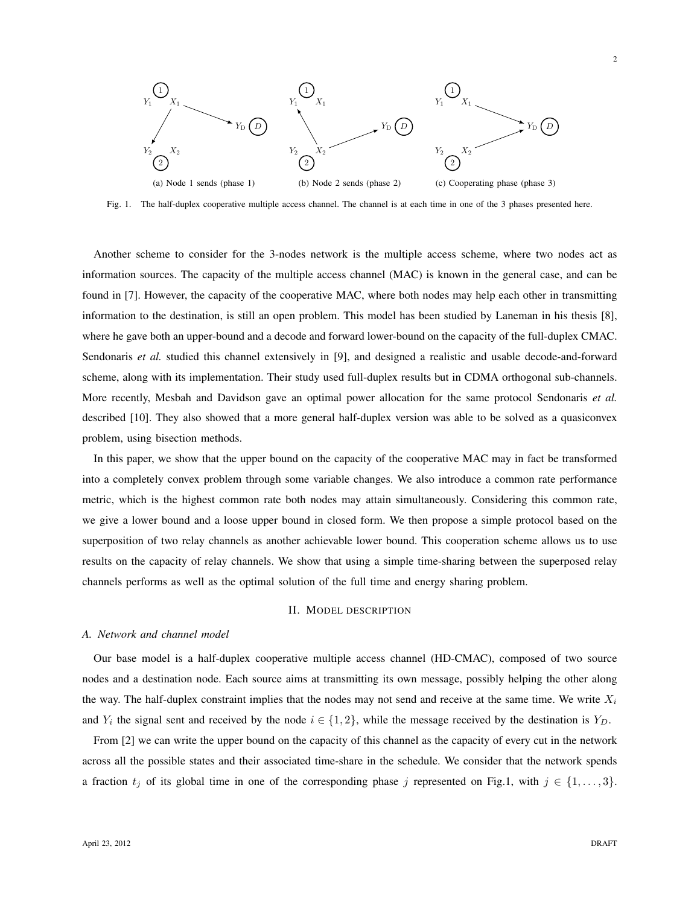

Fig. 1. The half-duplex cooperative multiple access channel. The channel is at each time in one of the 3 phases presented here.

Another scheme to consider for the 3-nodes network is the multiple access scheme, where two nodes act as information sources. The capacity of the multiple access channel (MAC) is known in the general case, and can be found in [7]. However, the capacity of the cooperative MAC, where both nodes may help each other in transmitting information to the destination, is still an open problem. This model has been studied by Laneman in his thesis [8], where he gave both an upper-bound and a decode and forward lower-bound on the capacity of the full-duplex CMAC. Sendonaris *et al.* studied this channel extensively in [9], and designed a realistic and usable decode-and-forward scheme, along with its implementation. Their study used full-duplex results but in CDMA orthogonal sub-channels. More recently, Mesbah and Davidson gave an optimal power allocation for the same protocol Sendonaris *et al.* described [10]. They also showed that a more general half-duplex version was able to be solved as a quasiconvex problem, using bisection methods.

In this paper, we show that the upper bound on the capacity of the cooperative MAC may in fact be transformed into a completely convex problem through some variable changes. We also introduce a common rate performance metric, which is the highest common rate both nodes may attain simultaneously. Considering this common rate, we give a lower bound and a loose upper bound in closed form. We then propose a simple protocol based on the superposition of two relay channels as another achievable lower bound. This cooperation scheme allows us to use results on the capacity of relay channels. We show that using a simple time-sharing between the superposed relay channels performs as well as the optimal solution of the full time and energy sharing problem.

#### II. MODEL DESCRIPTION

#### *A. Network and channel model*

Our base model is a half-duplex cooperative multiple access channel (HD-CMAC), composed of two source nodes and a destination node. Each source aims at transmitting its own message, possibly helping the other along the way. The half-duplex constraint implies that the nodes may not send and receive at the same time. We write  $X_i$ and  $Y_i$  the signal sent and received by the node  $i \in \{1,2\}$ , while the message received by the destination is  $Y_D$ .

From [2] we can write the upper bound on the capacity of this channel as the capacity of every cut in the network across all the possible states and their associated time-share in the schedule. We consider that the network spends a fraction  $t_j$  of its global time in one of the corresponding phase j represented on Fig.1, with  $j \in \{1, \ldots, 3\}$ .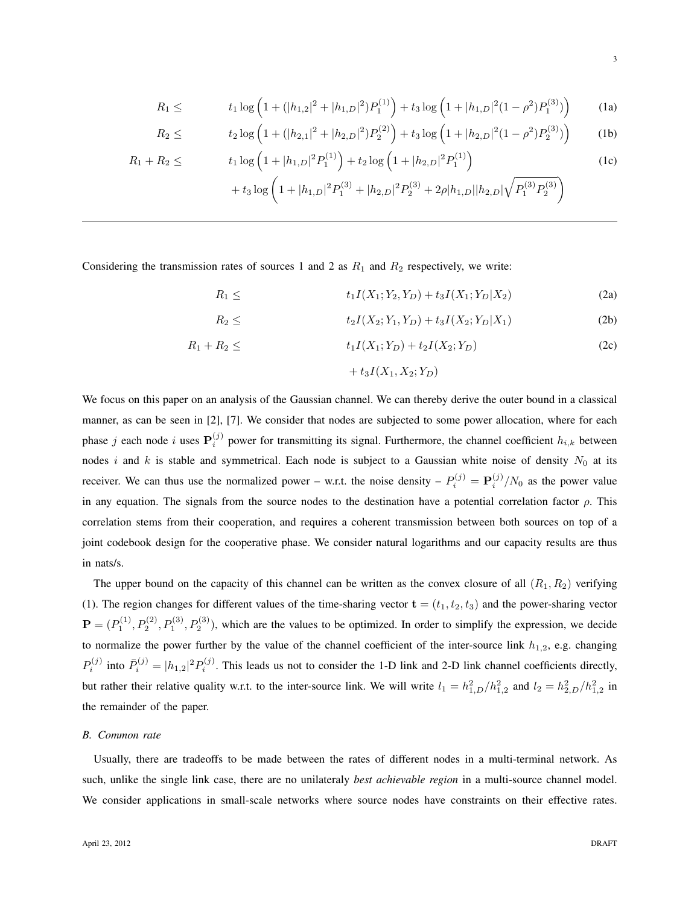$$
R_1 \leq t_1 \log \left( 1 + (|h_{1,2}|^2 + |h_{1,D}|^2) P_1^{(1)} \right) + t_3 \log \left( 1 + |h_{1,D}|^2 (1 - \rho^2) P_1^{(3)} \right) \tag{1a}
$$

$$
R_2 \leq t_2 \log \left( 1 + (|h_{2,1}|^2 + |h_{2,D}|^2) P_2^{(2)} \right) + t_3 \log \left( 1 + |h_{2,D}|^2 (1 - \rho^2) P_2^{(3)} \right) \tag{1b}
$$

$$
R_1 + R_2 \leq t_1 \log \left( 1 + |h_{1,D}|^2 P_1^{(1)} \right) + t_2 \log \left( 1 + |h_{2,D}|^2 P_1^{(1)} \right)
$$
  
+ 
$$
t_3 \log \left( 1 + |h_{1,D}|^2 P_1^{(3)} + |h_{2,D}|^2 P_2^{(3)} + 2\rho |h_{1,D}| |h_{2,D}| \sqrt{P_1^{(3)} P_2^{(3)}} \right)
$$
(1c)

Considering the transmission rates of sources 1 and 2 as  $R_1$  and  $R_2$  respectively, we write:

$$
R_1 \leq t_1 I(X_1; Y_2, Y_D) + t_3 I(X_1; Y_D | X_2) \tag{2a}
$$

$$
R_2 \leq t_2 I(X_2; Y_1, Y_D) + t_3 I(X_2; Y_D | X_1) \tag{2b}
$$

$$
R_1 + R_2 \leq t_1 I(X_1; Y_D) + t_2 I(X_2; Y_D) \tag{2c}
$$

$$
+ t_3 I(X_1,X_2;Y_D)
$$

We focus on this paper on an analysis of the Gaussian channel. We can thereby derive the outer bound in a classical manner, as can be seen in [2], [7]. We consider that nodes are subjected to some power allocation, where for each phase j each node i uses  $P_i^{(j)}$  power for transmitting its signal. Furthermore, the channel coefficient  $h_{i,k}$  between nodes i and k is stable and symmetrical. Each node is subject to a Gaussian white noise of density  $N_0$  at its receiver. We can thus use the normalized power – w.r.t. the noise density –  $P_i^{(j)} = \mathbf{P}_i^{(j)}/N_0$  as the power value in any equation. The signals from the source nodes to the destination have a potential correlation factor  $\rho$ . This correlation stems from their cooperation, and requires a coherent transmission between both sources on top of a joint codebook design for the cooperative phase. We consider natural logarithms and our capacity results are thus in nats/s.

The upper bound on the capacity of this channel can be written as the convex closure of all  $(R_1, R_2)$  verifying (1). The region changes for different values of the time-sharing vector  $\mathbf{t} = (t_1, t_2, t_3)$  and the power-sharing vector  $\mathbf{P} = (P_1^{(1)}, P_2^{(2)}, P_1^{(3)}, P_2^{(3)})$ , which are the values to be optimized. In order to simplify the expression, we decide to normalize the power further by the value of the channel coefficient of the inter-source link  $h_{1,2}$ , e.g. changing  $P_i^{(j)}$  into  $\bar{P}_i^{(j)} = |h_{1,2}|^2 P_i^{(j)}$ . This leads us not to consider the 1-D link and 2-D link channel coefficients directly, but rather their relative quality w.r.t. to the inter-source link. We will write  $l_1 = h_{1,D}^2/h_{1,2}^2$  and  $l_2 = h_{2,D}^2/h_{1,2}^2$  in the remainder of the paper.

#### *B. Common rate*

Usually, there are tradeoffs to be made between the rates of different nodes in a multi-terminal network. As such, unlike the single link case, there are no unilateraly *best achievable region* in a multi-source channel model. We consider applications in small-scale networks where source nodes have constraints on their effective rates.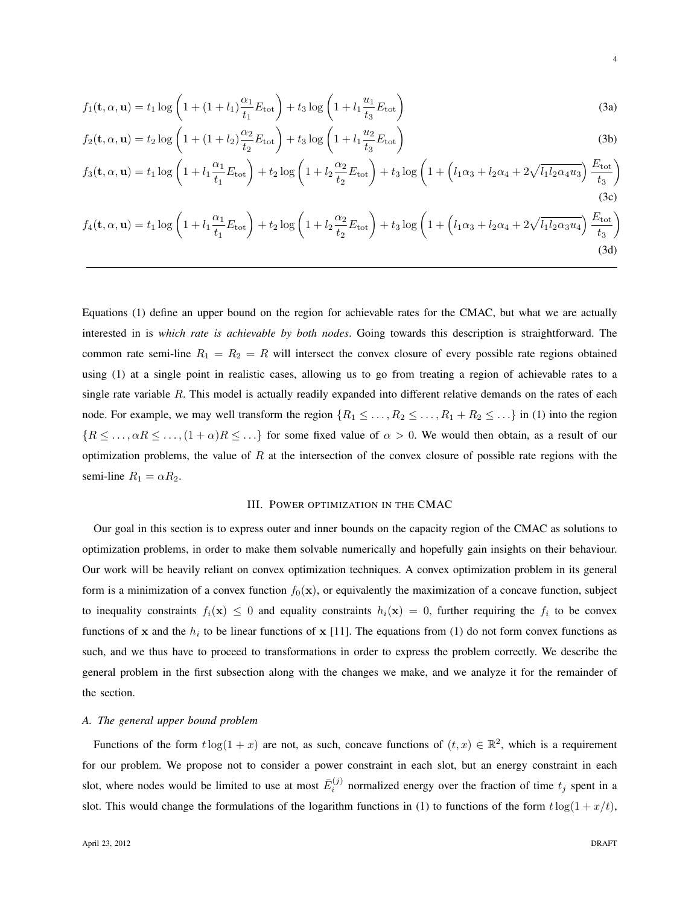$$
f_1(\mathbf{t}, \alpha, \mathbf{u}) = t_1 \log \left( 1 + (1 + l_1) \frac{\alpha_1}{t_1} E_{\text{tot}} \right) + t_3 \log \left( 1 + l_1 \frac{u_1}{t_3} E_{\text{tot}} \right)
$$
(3a)

$$
f_2(\mathbf{t}, \alpha, \mathbf{u}) = t_2 \log \left( 1 + (1 + l_2) \frac{\alpha_2}{t_2} E_{\text{tot}} \right) + t_3 \log \left( 1 + l_1 \frac{u_2}{t_3} E_{\text{tot}} \right)
$$
(3b)

$$
f_3(\mathbf{t}, \alpha, \mathbf{u}) = t_1 \log \left( 1 + l_1 \frac{\alpha_1}{t_1} E_{\text{tot}} \right) + t_2 \log \left( 1 + l_2 \frac{\alpha_2}{t_2} E_{\text{tot}} \right) + t_3 \log \left( 1 + \left( l_1 \alpha_3 + l_2 \alpha_4 + 2 \sqrt{l_1 l_2 \alpha_4 u_3} \right) \frac{E_{\text{tot}}}{t_3} \right)
$$
(3c)

$$
f_4(\mathbf{t}, \alpha, \mathbf{u}) = t_1 \log \left( 1 + l_1 \frac{\alpha_1}{t_1} E_{\text{tot}} \right) + t_2 \log \left( 1 + l_2 \frac{\alpha_2}{t_2} E_{\text{tot}} \right) + t_3 \log \left( 1 + \left( l_1 \alpha_3 + l_2 \alpha_4 + 2 \sqrt{l_1 l_2 \alpha_3 u_4} \right) \frac{E_{\text{tot}}}{t_3} \right)
$$
(3d)

Equations (1) define an upper bound on the region for achievable rates for the CMAC, but what we are actually interested in is *which rate is achievable by both nodes*. Going towards this description is straightforward. The common rate semi-line  $R_1 = R_2 = R$  will intersect the convex closure of every possible rate regions obtained using (1) at a single point in realistic cases, allowing us to go from treating a region of achievable rates to a single rate variable R. This model is actually readily expanded into different relative demands on the rates of each node. For example, we may well transform the region  $\{R_1 \leq \ldots, R_2 \leq \ldots, R_1 + R_2 \leq \ldots\}$  in (1) into the region  ${R \leq \ldots, \alpha R \leq \ldots, (1+\alpha)R \leq \ldots}$  for some fixed value of  $\alpha > 0$ . We would then obtain, as a result of our optimization problems, the value of  $R$  at the intersection of the convex closure of possible rate regions with the semi-line  $R_1 = \alpha R_2$ .

#### III. POWER OPTIMIZATION IN THE CMAC

Our goal in this section is to express outer and inner bounds on the capacity region of the CMAC as solutions to optimization problems, in order to make them solvable numerically and hopefully gain insights on their behaviour. Our work will be heavily reliant on convex optimization techniques. A convex optimization problem in its general form is a minimization of a convex function  $f_0(x)$ , or equivalently the maximization of a concave function, subject to inequality constraints  $f_i(\mathbf{x}) \leq 0$  and equality constraints  $h_i(\mathbf{x}) = 0$ , further requiring the  $f_i$  to be convex functions of x and the  $h_i$  to be linear functions of x [11]. The equations from (1) do not form convex functions as such, and we thus have to proceed to transformations in order to express the problem correctly. We describe the general problem in the first subsection along with the changes we make, and we analyze it for the remainder of the section.

#### *A. The general upper bound problem*

Functions of the form  $t \log(1+x)$  are not, as such, concave functions of  $(t, x) \in \mathbb{R}^2$ , which is a requirement for our problem. We propose not to consider a power constraint in each slot, but an energy constraint in each slot, where nodes would be limited to use at most  $\bar{E}_i^{(j)}$  normalized energy over the fraction of time  $t_j$  spent in a slot. This would change the formulations of the logarithm functions in (1) to functions of the form  $t \log(1 + x/t)$ ,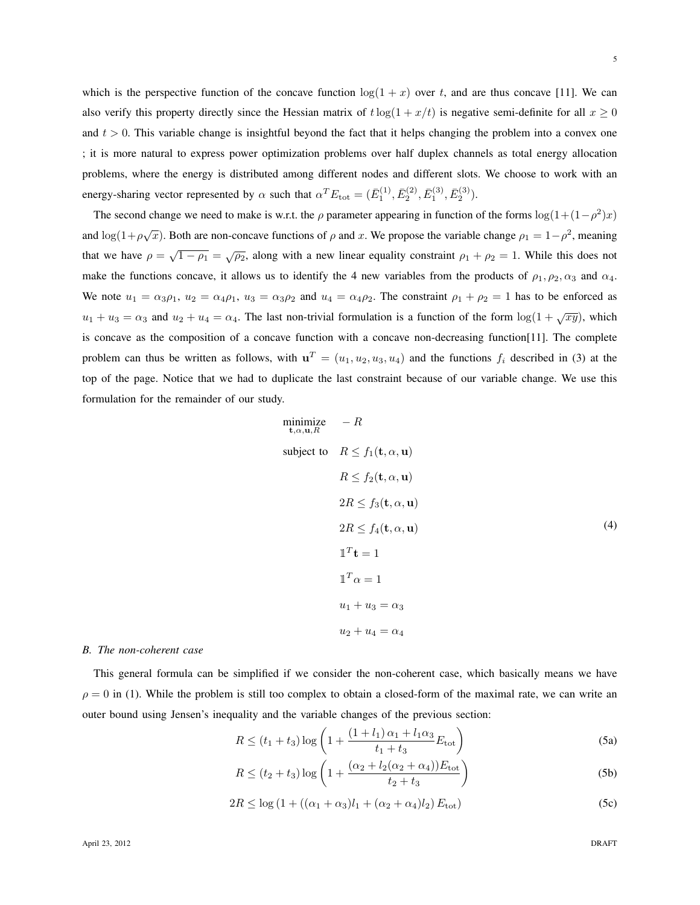which is the perspective function of the concave function  $\log(1 + x)$  over t, and are thus concave [11]. We can also verify this property directly since the Hessian matrix of  $t \log(1 + x/t)$  is negative semi-definite for all  $x \ge 0$ and  $t > 0$ . This variable change is insightful beyond the fact that it helps changing the problem into a convex one ; it is more natural to express power optimization problems over half duplex channels as total energy allocation problems, where the energy is distributed among different nodes and different slots. We choose to work with an energy-sharing vector represented by  $\alpha$  such that  $\alpha^T E_{\text{tot}} = (\bar{E}_1^{(1)}, \bar{E}_2^{(2)}, \bar{E}_1^{(3)}, \bar{E}_2^{(3)})$ .

The second change we need to make is w.r.t. the  $\rho$  parameter appearing in function of the forms  $\log(1+(1-\rho^2)x)$ and  $\log(1+\rho\sqrt{x})$ . Both are non-concave functions of  $\rho$  and x. We propose the variable change  $\rho_1 = 1-\rho^2$ , meaning that we have  $\rho = \sqrt{1 - \rho_1} = \sqrt{\rho_2}$ , along with a new linear equality constraint  $\rho_1 + \rho_2 = 1$ . While this does not make the functions concave, it allows us to identify the 4 new variables from the products of  $\rho_1, \rho_2, \alpha_3$  and  $\alpha_4$ . We note  $u_1 = \alpha_3 \rho_1$ ,  $u_2 = \alpha_4 \rho_1$ ,  $u_3 = \alpha_3 \rho_2$  and  $u_4 = \alpha_4 \rho_2$ . The constraint  $\rho_1 + \rho_2 = 1$  has to be enforced as  $u_1 + u_3 = \alpha_3$  and  $u_2 + u_4 = \alpha_4$ . The last non-trivial formulation is a function of the form  $\log(1 + \sqrt{xy})$ , which is concave as the composition of a concave function with a concave non-decreasing function[11]. The complete problem can thus be written as follows, with  $\mathbf{u}^T = (u_1, u_2, u_3, u_4)$  and the functions  $f_i$  described in (3) at the top of the page. Notice that we had to duplicate the last constraint because of our variable change. We use this formulation for the remainder of our study.

minimize 
$$
-R
$$
  
\n $\mathbf{t}, \alpha, \mathbf{u}, R$   
\nsubject to  $R \le f_1(\mathbf{t}, \alpha, \mathbf{u})$   
\n $R \le f_2(\mathbf{t}, \alpha, \mathbf{u})$   
\n $2R \le f_3(\mathbf{t}, \alpha, \mathbf{u})$   
\n $2R \le f_4(\mathbf{t}, \alpha, \mathbf{u})$   
\n $\mathbf{1}^T \mathbf{t} = 1$   
\n $\mathbf{1}^T \alpha = 1$   
\n $u_1 + u_3 = \alpha_3$   
\n $u_2 + u_4 = \alpha_4$  (4)

#### *B. The non-coherent case*

This general formula can be simplified if we consider the non-coherent case, which basically means we have  $\rho = 0$  in (1). While the problem is still too complex to obtain a closed-form of the maximal rate, we can write an outer bound using Jensen's inequality and the variable changes of the previous section:

$$
R \le (t_1 + t_3) \log \left( 1 + \frac{(1 + l_1)\alpha_1 + l_1\alpha_3}{t_1 + t_3} E_{\text{tot}} \right)
$$
 (5a)

$$
R \le (t_2 + t_3) \log \left( 1 + \frac{(\alpha_2 + l_2(\alpha_2 + \alpha_4)) E_{\text{tot}}}{t_2 + t_3} \right)
$$
 (5b)

$$
2R \le \log(1 + ((\alpha_1 + \alpha_3)l_1 + (\alpha_2 + \alpha_4)l_2) E_{\text{tot}})
$$
 (5c)

5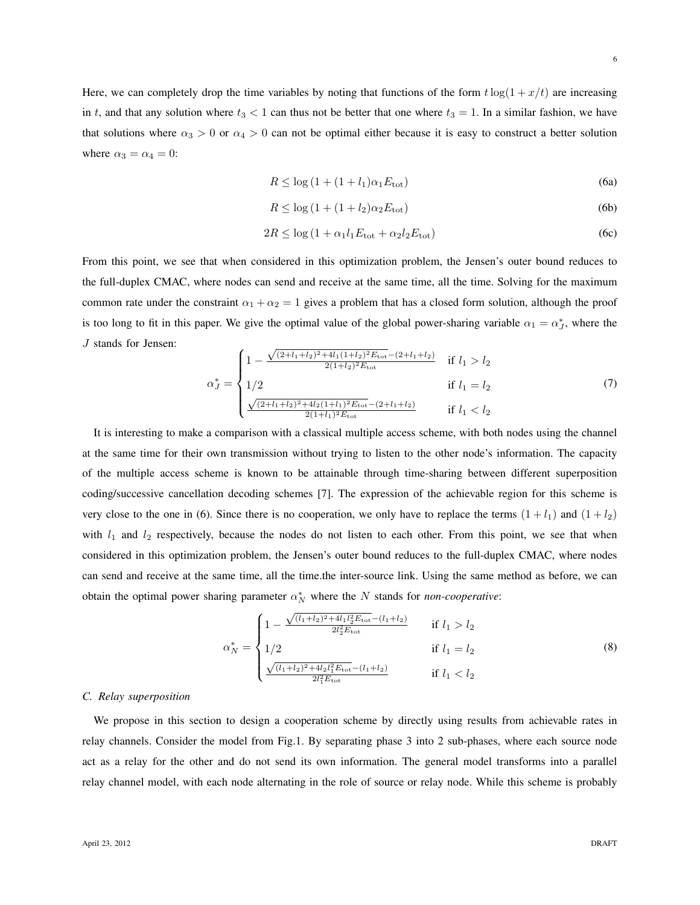6

Here, we can completely drop the time variables by noting that functions of the form  $t \log(1 + x/t)$  are increasing in t, and that any solution where  $t_3 < 1$  can thus not be better that one where  $t_3 = 1$ . In a similar fashion, we have that solutions where  $\alpha_3 > 0$  or  $\alpha_4 > 0$  can not be optimal either because it is easy to construct a better solution where  $\alpha_3 = \alpha_4 = 0$ :

$$
R \le \log\left(1 + (1 + l_1)\alpha_1 E_{\text{tot}}\right) \tag{6a}
$$

$$
R \le \log\left(1 + (1 + l_2)\alpha_2 E_{\text{tot}}\right) \tag{6b}
$$

$$
2R \le \log\left(1 + \alpha_1 l_1 E_{\text{tot}} + \alpha_2 l_2 E_{\text{tot}}\right) \tag{6c}
$$

From this point, we see that when considered in this optimization problem, the Jensen's outer bound reduces to the full-duplex CMAC, where nodes can send and receive at the same time, all the time. Solving for the maximum common rate under the constraint  $\alpha_1 + \alpha_2 = 1$  gives a problem that has a closed form solution, although the proof is too long to fit in this paper. We give the optimal value of the global power-sharing variable  $\alpha_1 = \alpha_J^*$ , where the J stands for Jensen: √

$$
\alpha_{J}^{*} = \begin{cases}\n1 - \frac{\sqrt{(2 + l_{1} + l_{2})^{2} + 4l_{1}(1 + l_{2})^{2} E_{\text{tot}} - (2 + l_{1} + l_{2})}}{2(1 + l_{2})^{2} E_{\text{tot}}} & \text{if } l_{1} > l_{2} \\
1/2 & \text{if } l_{1} = l_{2} \\
\frac{\sqrt{(2 + l_{1} + l_{2})^{2} + 4l_{2}(1 + l_{1})^{2} E_{\text{tot}} - (2 + l_{1} + l_{2})}}{2(1 + l_{1})^{2} E_{\text{tot}}}} & \text{if } l_{1} < l_{2}\n\end{cases}
$$
\n(7)

It is interesting to make a comparison with a classical multiple access scheme, with both nodes using the channel at the same time for their own transmission without trying to listen to the other node's information. The capacity of the multiple access scheme is known to be attainable through time-sharing between different superposition coding/successive cancellation decoding schemes [7]. The expression of the achievable region for this scheme is very close to the one in (6). Since there is no cooperation, we only have to replace the terms  $(1 + l_1)$  and  $(1 + l_2)$ with  $l_1$  and  $l_2$  respectively, because the nodes do not listen to each other. From this point, we see that when considered in this optimization problem, the Jensen's outer bound reduces to the full-duplex CMAC, where nodes can send and receive at the same time, all the time.the inter-source link. Using the same method as before, we can obtain the optimal power sharing parameter  $\alpha_N^*$  where the N stands for *non-cooperative*:

$$
\alpha_N^* = \begin{cases}\n1 - \frac{\sqrt{(l_1 + l_2)^2 + 4l_1 l_2^2 E_{\text{tot}}} - (l_1 + l_2)}{2l_2^2 E_{\text{tot}}} & \text{if } l_1 > l_2 \\
1/2 & \text{if } l_1 = l_2 \\
\frac{\sqrt{(l_1 + l_2)^2 + 4l_2 l_1^2 E_{\text{tot}}} - (l_1 + l_2)}{2l_1^2 E_{\text{tot}}} & \text{if } l_1 < l_2\n\end{cases} \tag{8}
$$

#### *C. Relay superposition*

We propose in this section to design a cooperation scheme by directly using results from achievable rates in relay channels. Consider the model from Fig.1. By separating phase 3 into 2 sub-phases, where each source node act as a relay for the other and do not send its own information. The general model transforms into a parallel relay channel model, with each node alternating in the role of source or relay node. While this scheme is probably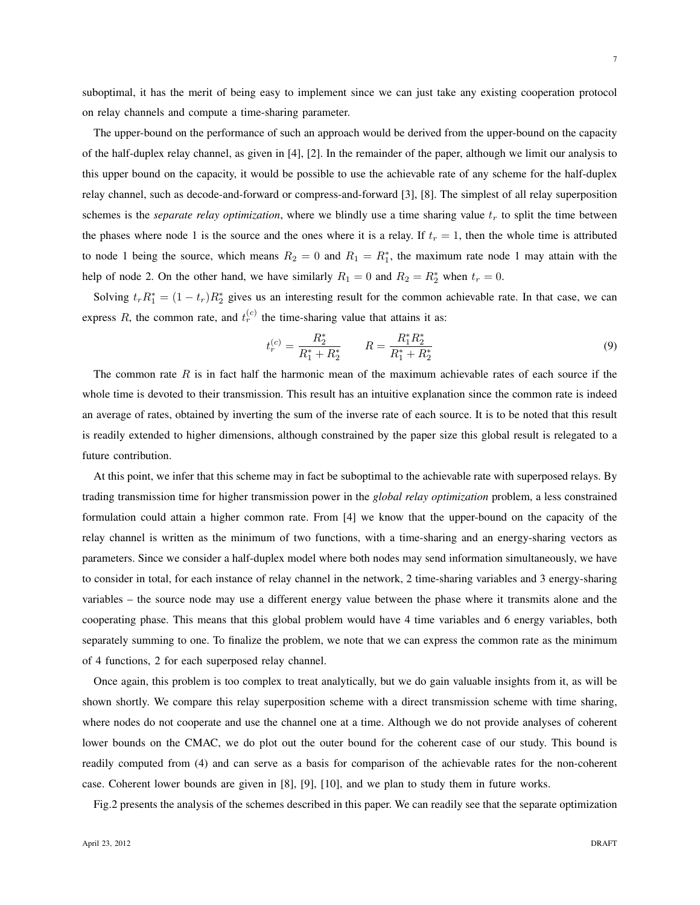7

suboptimal, it has the merit of being easy to implement since we can just take any existing cooperation protocol on relay channels and compute a time-sharing parameter.

The upper-bound on the performance of such an approach would be derived from the upper-bound on the capacity of the half-duplex relay channel, as given in [4], [2]. In the remainder of the paper, although we limit our analysis to this upper bound on the capacity, it would be possible to use the achievable rate of any scheme for the half-duplex relay channel, such as decode-and-forward or compress-and-forward [3], [8]. The simplest of all relay superposition schemes is the *separate relay optimization*, where we blindly use a time sharing value  $t_r$  to split the time between the phases where node 1 is the source and the ones where it is a relay. If  $t_r = 1$ , then the whole time is attributed to node 1 being the source, which means  $R_2 = 0$  and  $R_1 = R_1^*$ , the maximum rate node 1 may attain with the help of node 2. On the other hand, we have similarly  $R_1 = 0$  and  $R_2 = R_2^*$  when  $t_r = 0$ .

Solving  $t_r R_1^* = (1 - t_r)R_2^*$  gives us an interesting result for the common achievable rate. In that case, we can express R, the common rate, and  $t_r^{(c)}$  the time-sharing value that attains it as:

$$
t_r^{(c)} = \frac{R_2^*}{R_1^* + R_2^*} \qquad R = \frac{R_1^* R_2^*}{R_1^* + R_2^*} \tag{9}
$$

The common rate  $R$  is in fact half the harmonic mean of the maximum achievable rates of each source if the whole time is devoted to their transmission. This result has an intuitive explanation since the common rate is indeed an average of rates, obtained by inverting the sum of the inverse rate of each source. It is to be noted that this result is readily extended to higher dimensions, although constrained by the paper size this global result is relegated to a future contribution.

At this point, we infer that this scheme may in fact be suboptimal to the achievable rate with superposed relays. By trading transmission time for higher transmission power in the *global relay optimization* problem, a less constrained formulation could attain a higher common rate. From [4] we know that the upper-bound on the capacity of the relay channel is written as the minimum of two functions, with a time-sharing and an energy-sharing vectors as parameters. Since we consider a half-duplex model where both nodes may send information simultaneously, we have to consider in total, for each instance of relay channel in the network, 2 time-sharing variables and 3 energy-sharing variables – the source node may use a different energy value between the phase where it transmits alone and the cooperating phase. This means that this global problem would have 4 time variables and 6 energy variables, both separately summing to one. To finalize the problem, we note that we can express the common rate as the minimum of 4 functions, 2 for each superposed relay channel.

Once again, this problem is too complex to treat analytically, but we do gain valuable insights from it, as will be shown shortly. We compare this relay superposition scheme with a direct transmission scheme with time sharing, where nodes do not cooperate and use the channel one at a time. Although we do not provide analyses of coherent lower bounds on the CMAC, we do plot out the outer bound for the coherent case of our study. This bound is readily computed from (4) and can serve as a basis for comparison of the achievable rates for the non-coherent case. Coherent lower bounds are given in [8], [9], [10], and we plan to study them in future works.

Fig.2 presents the analysis of the schemes described in this paper. We can readily see that the separate optimization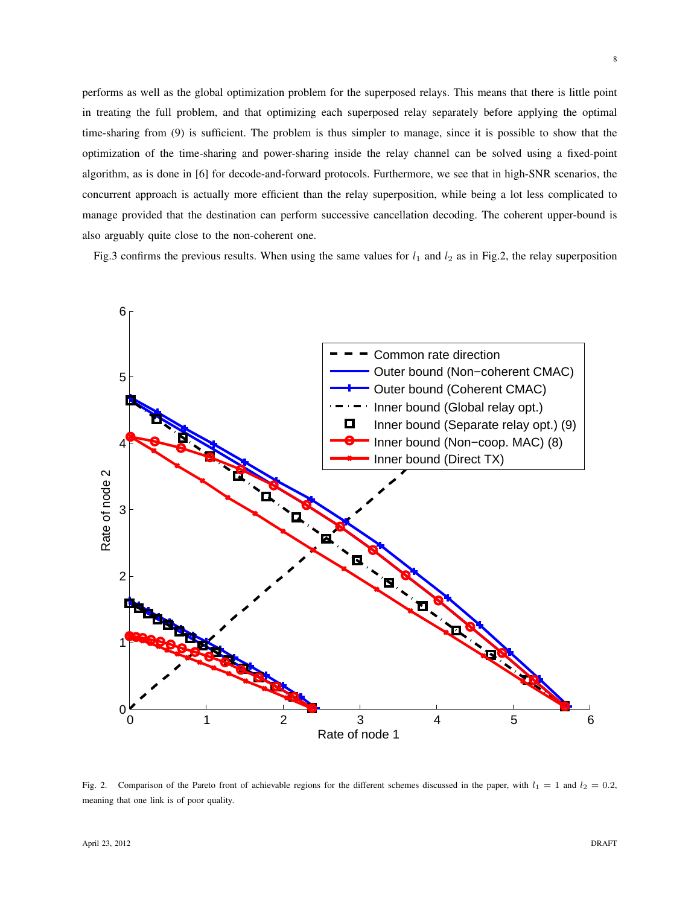performs as well as the global optimization problem for the superposed relays. This means that there is little point in treating the full problem, and that optimizing each superposed relay separately before applying the optimal time-sharing from (9) is sufficient. The problem is thus simpler to manage, since it is possible to show that the optimization of the time-sharing and power-sharing inside the relay channel can be solved using a fixed-point algorithm, as is done in [6] for decode-and-forward protocols. Furthermore, we see that in high-SNR scenarios, the concurrent approach is actually more efficient than the relay superposition, while being a lot less complicated to manage provided that the destination can perform successive cancellation decoding. The coherent upper-bound is also arguably quite close to the non-coherent one.

Fig.3 confirms the previous results. When using the same values for  $l_1$  and  $l_2$  as in Fig.2, the relay superposition



Fig. 2. Comparison of the Pareto front of achievable regions for the different schemes discussed in the paper, with  $l_1 = 1$  and  $l_2 = 0.2$ , meaning that one link is of poor quality.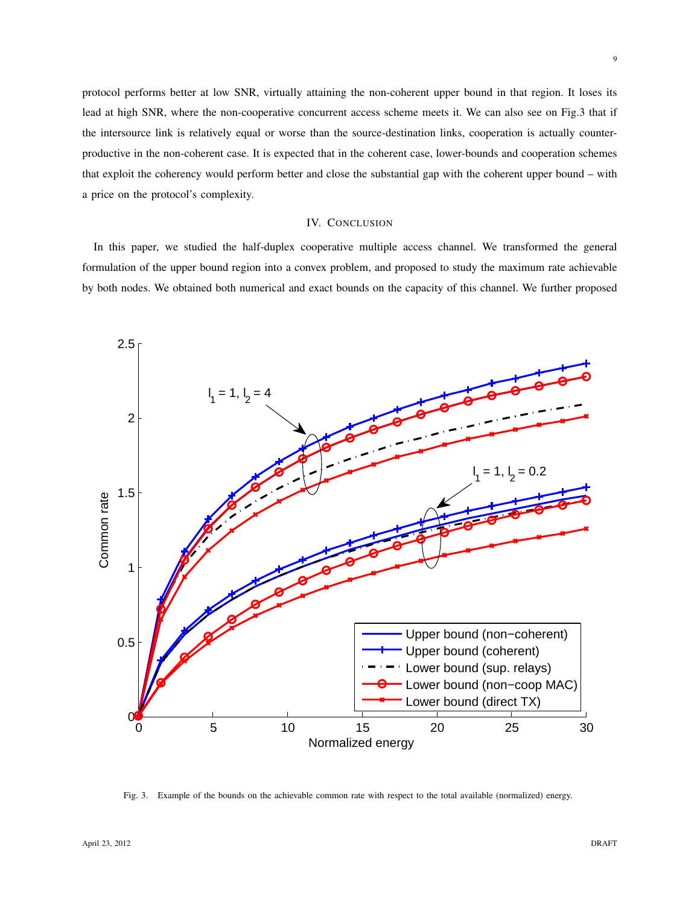protocol performs better at low SNR, virtually attaining the non-coherent upper bound in that region. It loses its lead at high SNR, where the non-cooperative concurrent access scheme meets it. We can also see on Fig.3 that if the intersource link is relatively equal or worse than the source-destination links, cooperation is actually counterproductive in the non-coherent case. It is expected that in the coherent case, lower-bounds and cooperation schemes that exploit the coherency would perform better and close the substantial gap with the coherent upper bound – with a price on the protocol's complexity.

#### IV. CONCLUSION

In this paper, we studied the half-duplex cooperative multiple access channel. We transformed the general formulation of the upper bound region into a convex problem, and proposed to study the maximum rate achievable by both nodes. We obtained both numerical and exact bounds on the capacity of this channel. We further proposed



Fig. 3. Example of the bounds on the achievable common rate with respect to the total available (normalized) energy.